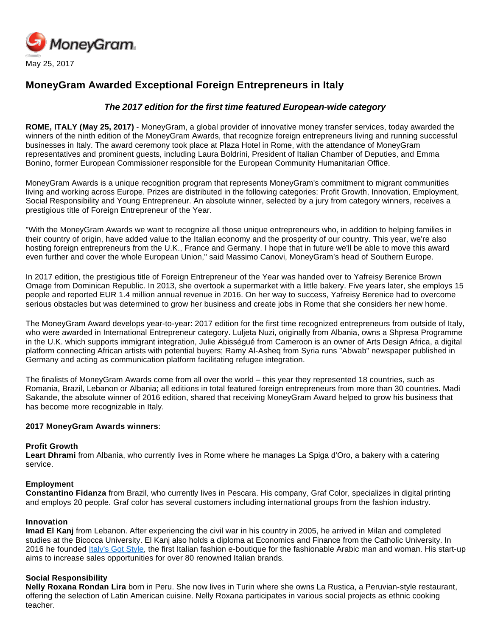

# **MoneyGram Awarded Exceptional Foreign Entrepreneurs in Italy**

## **The 2017 edition for the first time featured European-wide category**

**ROME, ITALY (May 25, 2017)** - MoneyGram, a global provider of innovative money transfer services, today awarded the winners of the ninth edition of the MoneyGram Awards, that recognize foreign entrepreneurs living and running successful businesses in Italy. The award ceremony took place at Plaza Hotel in Rome, with the attendance of MoneyGram representatives and prominent guests, including Laura Boldrini, President of Italian Chamber of Deputies, and Emma Bonino, former European Commissioner responsible for the European Community Humanitarian Office.

MoneyGram Awards is a unique recognition program that represents MoneyGram's commitment to migrant communities living and working across Europe. Prizes are distributed in the following categories: Profit Growth, Innovation, Employment, Social Responsibility and Young Entrepreneur. An absolute winner, selected by a jury from category winners, receives a prestigious title of Foreign Entrepreneur of the Year.

"With the MoneyGram Awards we want to recognize all those unique entrepreneurs who, in addition to helping families in their country of origin, have added value to the Italian economy and the prosperity of our country. This year, we're also hosting foreign entrepreneurs from the U.K., France and Germany. I hope that in future we'll be able to move this award even further and cover the whole European Union," said Massimo Canovi, MoneyGram's head of Southern Europe.

In 2017 edition, the prestigious title of Foreign Entrepreneur of the Year was handed over to Yafreisy Berenice Brown Omage from Dominican Republic. In 2013, she overtook a supermarket with a little bakery. Five years later, she employs 15 people and reported EUR 1.4 million annual revenue in 2016. On her way to success, Yafreisy Berenice had to overcome serious obstacles but was determined to grow her business and create jobs in Rome that she considers her new home.

The MoneyGram Award develops year-to-year: 2017 edition for the first time recognized entrepreneurs from outside of Italy, who were awarded in International Entrepreneur category. Luljeta Nuzi, originally from Albania, owns a Shpresa Programme in the U.K. which supports immigrant integration, Julie Abisségué from Cameroon is an owner of Arts Design Africa, a digital platform connecting African artists with potential buyers; Ramy Al-Asheq from Syria runs "Abwab" newspaper published in Germany and acting as communication platform facilitating refugee integration.

The finalists of MoneyGram Awards come from all over the world – this year they represented 18 countries, such as Romania, Brazil, Lebanon or Albania; all editions in total featured foreign entrepreneurs from more than 30 countries. Madi Sakande, the absolute winner of 2016 edition, shared that receiving MoneyGram Award helped to grow his business that has become more recognizable in Italy.

#### **2017 MoneyGram Awards winners**:

#### **Profit Growth**

**Leart Dhrami** from Albania, who currently lives in Rome where he manages La Spiga d'Oro, a bakery with a catering service.

#### **Employment**

**Constantino Fidanza** from Brazil, who currently lives in Pescara. His company, Graf Color, specializes in digital printing and employs 20 people. Graf color has several customers including international groups from the fashion industry.

#### **Innovation**

**Imad El Kanj** from Lebanon. After experiencing the civil war in his country in 2005, he arrived in Milan and completed studies at the Bicocca University. El Kanj also holds a diploma at Economics and Finance from the Catholic University. In 2016 he founded [Italy's Got Style,](https://italygotstyle.com/) the first Italian fashion e-boutique for the fashionable Arabic man and woman. His start-up aims to increase sales opportunities for over 80 renowned Italian brands.

#### **Social Responsibility**

**Nelly Roxana Rondan Lira** born in Peru. She now lives in Turin where she owns La Rustica, a Peruvian-style restaurant, offering the selection of Latin American cuisine. Nelly Roxana participates in various social projects as ethnic cooking teacher.